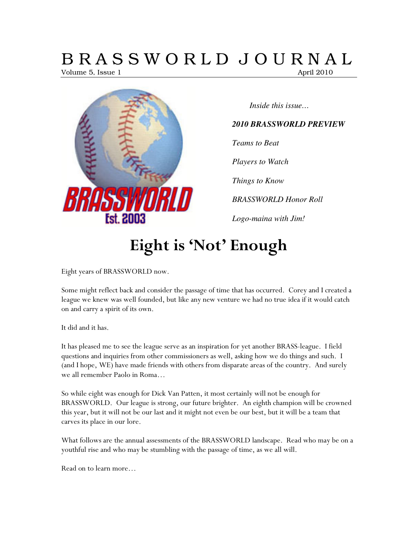# B R A S S W O R L D J O U R N A L

Volume 5, Issue 1 April 2010



*Inside this issue…* 

#### *2010 BRASSWORLD PREVIEW*

*Teams to Beat* 

*Players to Watch* 

*Things to Know* 

*BRASSWORLD Honor Roll* 

*Logo-maina with Jim!* 

# Eight is 'Not' Enough

Eight years of BRASSWORLD now.

Some might reflect back and consider the passage of time that has occurred. Corey and I created a league we knew was well founded, but like any new venture we had no true idea if it would catch on and carry a spirit of its own.

It did and it has.

It has pleased me to see the league serve as an inspiration for yet another BRASS-league. I field questions and inquiries from other commissioners as well, asking how we do things and such. I (and I hope, WE) have made friends with others from disparate areas of the country. And surely we all remember Paolo in Roma…

So while eight was enough for Dick Van Patten, it most certainly will not be enough for BRASSWORLD. Our league is strong, our future brighter. An eighth champion will be crowned this year, but it will not be our last and it might not even be our best, but it will be a team that carves its place in our lore.

What follows are the annual assessments of the BRASSWORLD landscape. Read who may be on a youthful rise and who may be stumbling with the passage of time, as we all will.

Read on to learn more…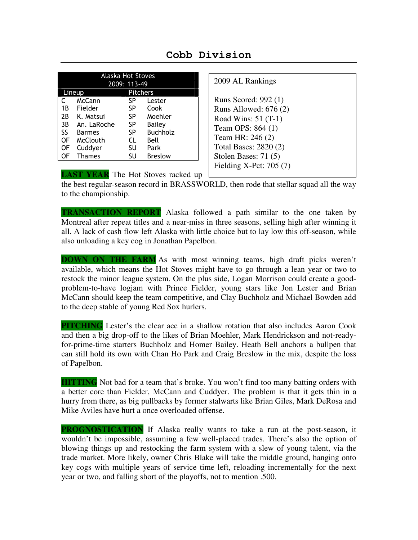| <b>Alaska Hot Stoves</b><br>2009: 113-49 |               |           |                 |  |  |
|------------------------------------------|---------------|-----------|-----------------|--|--|
| <b>Pitchers</b><br>Lineup                |               |           |                 |  |  |
| C                                        | McCann        | SP        | Lester          |  |  |
| 1 B                                      | Fielder       | SP        | Cook            |  |  |
| 2B                                       | K. Matsui     | SP        | Moehler         |  |  |
| 3B                                       | An. LaRoche   | SP        | Bailey          |  |  |
| <b>SS</b>                                | <b>Barmes</b> | SP        | <b>Buchholz</b> |  |  |
| 0F                                       | McClouth      | <b>CL</b> | Bell            |  |  |
| OF                                       | Cuddyer       | SU        | Park            |  |  |
| OF                                       | <b>Thames</b> | SU        | <b>Breslow</b>  |  |  |

| Cobb Division |  |  |
|---------------|--|--|
|               |  |  |

| 2009 AL Rankings                                                                                                                                                                             |
|----------------------------------------------------------------------------------------------------------------------------------------------------------------------------------------------|
| Runs Scored: 992 (1)<br>Runs Allowed: $676(2)$<br>Road Wins: $51(T-1)$<br>Team OPS: 864 (1)<br>Team HR: 246 (2)<br>Total Bases: 2820 (2)<br>Stolen Bases: 71 (5)<br>Fielding X-Pct: $705(7)$ |

**LAST YEAR** The Hot Stoves racked up

the best regular-season record in BRASSWORLD, then rode that stellar squad all the way to the championship.

**TRANSACTION REPORT** Alaska followed a path similar to the one taken by Montreal after repeat titles and a near-miss in three seasons, selling high after winning it all. A lack of cash flow left Alaska with little choice but to lay low this off-season, while also unloading a key cog in Jonathan Papelbon.

**DOWN ON THE FARM** As with most winning teams, high draft picks weren't available, which means the Hot Stoves might have to go through a lean year or two to restock the minor league system. On the plus side, Logan Morrison could create a goodproblem-to-have logjam with Prince Fielder, young stars like Jon Lester and Brian McCann should keep the team competitive, and Clay Buchholz and Michael Bowden add to the deep stable of young Red Sox hurlers.

**PITCHING** Lester's the clear ace in a shallow rotation that also includes Aaron Cook and then a big drop-off to the likes of Brian Moehler, Mark Hendrickson and not-readyfor-prime-time starters Buchholz and Homer Bailey. Heath Bell anchors a bullpen that can still hold its own with Chan Ho Park and Craig Breslow in the mix, despite the loss of Papelbon.

**HITTING** Not bad for a team that's broke. You won't find too many batting orders with a better core than Fielder, McCann and Cuddyer. The problem is that it gets thin in a hurry from there, as big pullbacks by former stalwarts like Brian Giles, Mark DeRosa and Mike Aviles have hurt a once overloaded offense.

**PROGNOSTICATION** If Alaska really wants to take a run at the post-season, it wouldn't be impossible, assuming a few well-placed trades. There's also the option of blowing things up and restocking the farm system with a slew of young talent, via the trade market. More likely, owner Chris Blake will take the middle ground, hanging onto key cogs with multiple years of service time left, reloading incrementally for the next year or two, and falling short of the playoffs, not to mention .500.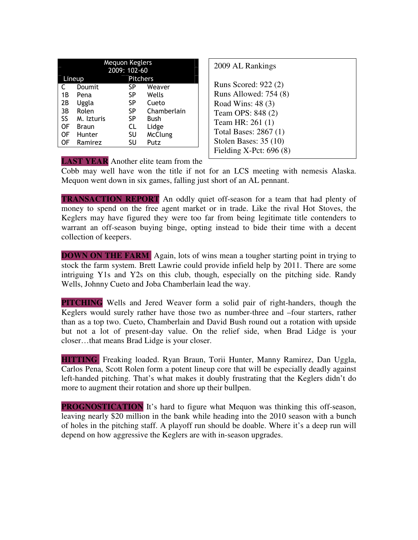| <b>Mequon Keglers</b>     |              |              |                |  |
|---------------------------|--------------|--------------|----------------|--|
|                           |              | 2009: 102-60 |                |  |
| <b>Pitchers</b><br>Lineup |              |              |                |  |
|                           | Doumit       | SP           | Weaver         |  |
| 1B                        | Pena         | SP           | Wells          |  |
| 2Β                        | Uggla        | SP           | Cueto          |  |
| 3B                        | Rolen        | SP           | Chamberlain    |  |
| SS                        | M. Izturis   | SP           | Bush           |  |
| OF                        | <b>Braun</b> | CL           | Lidge          |  |
| OF                        | Hunter       | SU           | <b>McClung</b> |  |
| OF                        | Ramirez      | SU           | Putz           |  |

| Runs Scored: 922 (2)<br>Runs Allowed: 754 (8)<br>Road Wins: 48 (3)<br>Team OPS: 848 (2)<br>Team HR: 261 (1)<br>Total Bases: 2867 (1) |
|--------------------------------------------------------------------------------------------------------------------------------------|
| Stolen Bases: $35(10)$<br>Fielding X-Pct: $696(8)$                                                                                   |

**LAST YEAR** Another elite team from the

Cobb may well have won the title if not for an LCS meeting with nemesis Alaska. Mequon went down in six games, falling just short of an AL pennant.

**TRANSACTION REPORT** An oddly quiet off-season for a team that had plenty of money to spend on the free agent market or in trade. Like the rival Hot Stoves, the Keglers may have figured they were too far from being legitimate title contenders to warrant an off-season buying binge, opting instead to bide their time with a decent collection of keepers.

**DOWN ON THE FARM** Again, lots of wins mean a tougher starting point in trying to stock the farm system. Brett Lawrie could provide infield help by 2011. There are some intriguing Y1s and Y2s on this club, though, especially on the pitching side. Randy Wells, Johnny Cueto and Joba Chamberlain lead the way.

**PITCHING** Wells and Jered Weaver form a solid pair of right-handers, though the Keglers would surely rather have those two as number-three and –four starters, rather than as a top two. Cueto, Chamberlain and David Bush round out a rotation with upside but not a lot of present-day value. On the relief side, when Brad Lidge is your closer…that means Brad Lidge is your closer.

**HITTING** Freaking loaded. Ryan Braun, Torii Hunter, Manny Ramirez, Dan Uggla, Carlos Pena, Scott Rolen form a potent lineup core that will be especially deadly against left-handed pitching. That's what makes it doubly frustrating that the Keglers didn't do more to augment their rotation and shore up their bullpen.

**PROGNOSTICATION** It's hard to figure what Mequon was thinking this off-season, leaving nearly \$20 million in the bank while heading into the 2010 season with a bunch of holes in the pitching staff. A playoff run should be doable. Where it's a deep run will depend on how aggressive the Keglers are with in-season upgrades.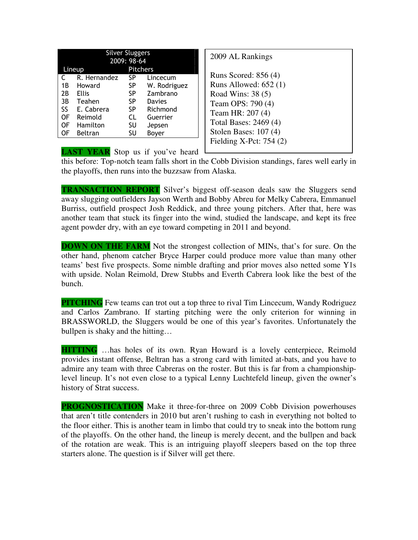|     | <b>Silver Sluggers</b> |                 |              |  |  |
|-----|------------------------|-----------------|--------------|--|--|
|     |                        | 2009: 98-64     |              |  |  |
|     | Lineup                 | <b>Pitchers</b> |              |  |  |
| C   | R. Hernandez           | <b>SP</b>       | Lincecum     |  |  |
| 1B  | Howard                 | SP              | W. Rodriguez |  |  |
| 2B  | <b>Ellis</b>           | SP              | Zambrano     |  |  |
| 3B  | Teahen                 | SP              | Davies       |  |  |
| SS. | E. Cabrera             | <b>SP</b>       | Richmond     |  |  |
| OF  | Reimold                | CL.             | Guerrier     |  |  |
| 0F  | Hamilton               | SU              | Jepsen       |  |  |
| OF  | <b>Beltran</b>         | SU              | Boyer        |  |  |

2009 AL Rankings Runs Scored: 856 (4) Runs Allowed: 652 (1) Road Wins: 38 (5) Team OPS: 790 (4) Team HR: 207 (4) Total Bases: 2469 (4) Stolen Bases: 107 (4) Fielding X-Pct: 754 (2)

**LAST YEAR** Stop us if you've heard

this before: Top-notch team falls short in the Cobb Division standings, fares well early in the playoffs, then runs into the buzzsaw from Alaska.

**TRANSACTION REPORT** Silver's biggest off-season deals saw the Sluggers send away slugging outfielders Jayson Werth and Bobby Abreu for Melky Cabrera, Emmanuel Burriss, outfield prospect Josh Reddick, and three young pitchers. After that, here was another team that stuck its finger into the wind, studied the landscape, and kept its free agent powder dry, with an eye toward competing in 2011 and beyond.

**DOWN ON THE FARM** Not the strongest collection of MINs, that's for sure. On the other hand, phenom catcher Bryce Harper could produce more value than many other teams' best five prospects. Some nimble drafting and prior moves also netted some Y1s with upside. Nolan Reimold, Drew Stubbs and Everth Cabrera look like the best of the bunch.

**PITCHING** Few teams can trot out a top three to rival Tim Lincecum, Wandy Rodriguez and Carlos Zambrano. If starting pitching were the only criterion for winning in BRASSWORLD, the Sluggers would be one of this year's favorites. Unfortunately the bullpen is shaky and the hitting…

**HITTING** …has holes of its own. Ryan Howard is a lovely centerpiece, Reimold provides instant offense, Beltran has a strong card with limited at-bats, and you have to admire any team with three Cabreras on the roster. But this is far from a championshiplevel lineup. It's not even close to a typical Lenny Luchtefeld lineup, given the owner's history of Strat success.

**PROGNOSTICATION** Make it three-for-three on 2009 Cobb Division powerhouses that aren't title contenders in 2010 but aren't rushing to cash in everything not bolted to the floor either. This is another team in limbo that could try to sneak into the bottom rung of the playoffs. On the other hand, the lineup is merely decent, and the bullpen and back of the rotation are weak. This is an intriguing playoff sleepers based on the top three starters alone. The question is if Silver will get there.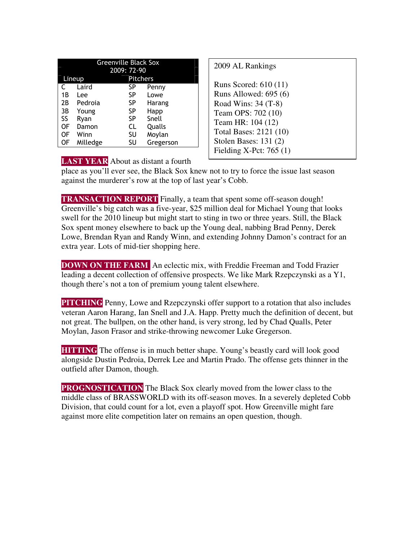| 2009: 72-90<br><b>Pitchers</b><br>Lineup<br>Laird<br>SP<br>Penny<br>SP<br>1B<br>Lowe<br>Lee<br>Pedroia<br>SP<br>2B<br>Harang<br>SP<br>3B<br>Young<br>Happ<br>SS<br>Snell<br>SP<br>Ryan<br>CL<br>OF<br>Damon<br>Qualls<br>OF<br>SU<br>Moylan<br>Winn | <b>Greenville Black Sox</b> |          |    |           |  |
|-----------------------------------------------------------------------------------------------------------------------------------------------------------------------------------------------------------------------------------------------------|-----------------------------|----------|----|-----------|--|
|                                                                                                                                                                                                                                                     |                             |          |    |           |  |
|                                                                                                                                                                                                                                                     |                             |          |    |           |  |
|                                                                                                                                                                                                                                                     |                             |          |    |           |  |
|                                                                                                                                                                                                                                                     |                             |          |    |           |  |
|                                                                                                                                                                                                                                                     |                             |          |    |           |  |
|                                                                                                                                                                                                                                                     |                             |          |    |           |  |
|                                                                                                                                                                                                                                                     |                             |          |    |           |  |
|                                                                                                                                                                                                                                                     |                             |          |    |           |  |
|                                                                                                                                                                                                                                                     |                             |          |    |           |  |
|                                                                                                                                                                                                                                                     | OF                          | Milledge | SU | Gregerson |  |

| 2009 AL Rankings                                                                                                                                                                                   |  |
|----------------------------------------------------------------------------------------------------------------------------------------------------------------------------------------------------|--|
| Runs Scored: $610(11)$<br>Runs Allowed: $695(6)$<br>Road Wins: 34 (T-8)<br>Team OPS: 702 (10)<br>Team HR: 104 (12)<br>Total Bases: 2121 (10)<br>Stolen Bases: $131(2)$<br>Fielding X-Pct: $765(1)$ |  |

**LAST YEAR** About as distant a fourth

place as you'll ever see, the Black Sox knew not to try to force the issue last season against the murderer's row at the top of last year's Cobb.

**TRANSACTION REPORT** Finally, a team that spent some off-season dough! Greenville's big catch was a five-year, \$25 million deal for Michael Young that looks swell for the 2010 lineup but might start to sting in two or three years. Still, the Black Sox spent money elsewhere to back up the Young deal, nabbing Brad Penny, Derek Lowe, Brendan Ryan and Randy Winn, and extending Johnny Damon's contract for an extra year. Lots of mid-tier shopping here.

**DOWN ON THE FARM** An eclectic mix, with Freddie Freeman and Todd Frazier leading a decent collection of offensive prospects. We like Mark Rzepczynski as a Y1, though there's not a ton of premium young talent elsewhere.

**PITCHING** Penny, Lowe and Rzepczynski offer support to a rotation that also includes veteran Aaron Harang, Ian Snell and J.A. Happ. Pretty much the definition of decent, but not great. The bullpen, on the other hand, is very strong, led by Chad Qualls, Peter Moylan, Jason Frasor and strike-throwing newcomer Luke Gregerson.

**HITTING** The offense is in much better shape. Young's beastly card will look good alongside Dustin Pedroia, Derrek Lee and Martin Prado. The offense gets thinner in the outfield after Damon, though.

**PROGNOSTICATION** The Black Sox clearly moved from the lower class to the middle class of BRASSWORLD with its off-season moves. In a severely depleted Cobb Division, that could count for a lot, even a playoff spot. How Greenville might fare against more elite competition later on remains an open question, though.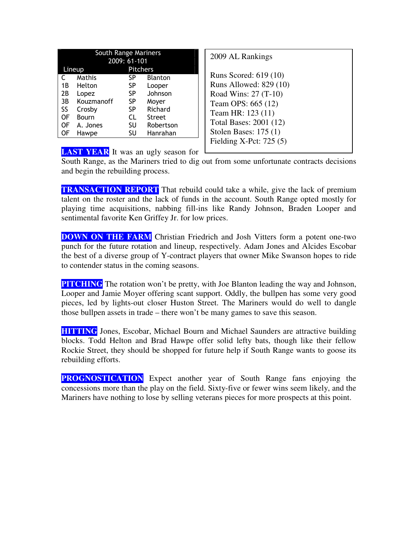| South Range Mariners<br>2009: 61-101 |                                |           |               |                               |
|--------------------------------------|--------------------------------|-----------|---------------|-------------------------------|
|                                      | Lineup                         | Pitchers  |               |                               |
| C.                                   | Mathis<br>SP<br><b>Blanton</b> |           |               | R                             |
| 1B                                   | Helton                         | SP        | Looper        | R                             |
| 2B                                   | Lopez                          | SP        | Johnson       | R                             |
| 3B                                   | Kouzmanoff                     | <b>SP</b> | Moyer         | T                             |
| SS.                                  | Crosby                         | SP        | Richard       | T                             |
| 0F                                   | Bourn                          | CL        | <b>Street</b> |                               |
| 0F                                   | A. Jones                       | SU        | Robertson     | T                             |
| 0F                                   | Hawpe                          | SU        | Hanrahan      | $S^{\cdot}$<br>$\blacksquare$ |

| 2009 AL Rankings         |
|--------------------------|
| Runs Scored: 619 (10)    |
| Runs Allowed: 829 (10)   |
| Road Wins: 27 (T-10)     |
| Team OPS: 665 (12)       |
| Team HR: 123 (11)        |
| Total Bases: 2001 (12)   |
| Stolen Bases: $175(1)$   |
| Fielding X-Pct: $725(5)$ |
|                          |

**LAST YEAR** It was an ugly season for

South Range, as the Mariners tried to dig out from some unfortunate contracts decisions and begin the rebuilding process.

**TRANSACTION REPORT** That rebuild could take a while, give the lack of premium talent on the roster and the lack of funds in the account. South Range opted mostly for playing time acquisitions, nabbing fill-ins like Randy Johnson, Braden Looper and sentimental favorite Ken Griffey Jr. for low prices.

**DOWN ON THE FARM** Christian Friedrich and Josh Vitters form a potent one-two punch for the future rotation and lineup, respectively. Adam Jones and Alcides Escobar the best of a diverse group of Y-contract players that owner Mike Swanson hopes to ride to contender status in the coming seasons.

**PITCHING** The rotation won't be pretty, with Joe Blanton leading the way and Johnson, Looper and Jamie Moyer offering scant support. Oddly, the bullpen has some very good pieces, led by lights-out closer Huston Street. The Mariners would do well to dangle those bullpen assets in trade – there won't be many games to save this season.

**HITTING** Jones, Escobar, Michael Bourn and Michael Saunders are attractive building blocks. Todd Helton and Brad Hawpe offer solid lefty bats, though like their fellow Rockie Street, they should be shopped for future help if South Range wants to goose its rebuilding efforts.

**PROGNOSTICATION** Expect another year of South Range fans enjoying the concessions more than the play on the field. Sixty-five or fewer wins seem likely, and the Mariners have nothing to lose by selling veterans pieces for more prospects at this point.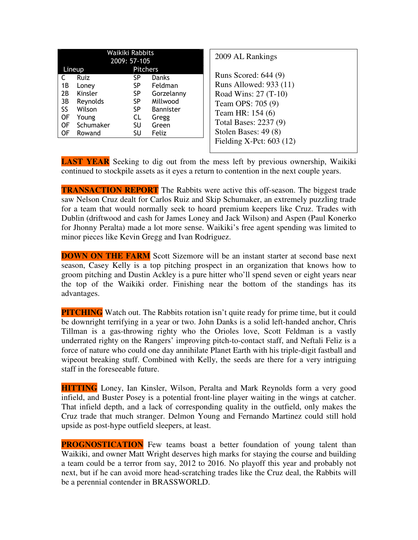| Waikiki Rabbits<br>2009: 57-105                                                                                                     |                                                                              |                                                                                                  | 2009 AL Rankings                                                                                                                                                                              |
|-------------------------------------------------------------------------------------------------------------------------------------|------------------------------------------------------------------------------|--------------------------------------------------------------------------------------------------|-----------------------------------------------------------------------------------------------------------------------------------------------------------------------------------------------|
| Lineup<br>Ruiz<br>1 B<br>Loney<br>2B<br>Kinsler<br>3B<br>Reynolds<br>SS<br>Wilson<br>0F<br>Young<br>Schumaker<br>0F<br>0F<br>Rowand | <b>Pitchers</b><br>SP.<br>SP.<br>SP.<br>SP.<br>SP.<br>CL.<br><b>SU</b><br>SU | <b>Danks</b><br>Feldman<br>Gorzelanny<br>Millwood<br><b>Bannister</b><br>Gregg<br>Green<br>Feliz | Runs Scored: 644 (9)<br>Runs Allowed: 933 (11)<br>Road Wins: 27 (T-10)<br>Team OPS: 705 (9)<br>Team HR: 154 (6)<br>Total Bases: 2237 (9)<br>Stolen Bases: 49 (8)<br>Fielding X-Pct: $603(12)$ |

**LAST YEAR** Seeking to dig out from the mess left by previous ownership, Waikiki continued to stockpile assets as it eyes a return to contention in the next couple years.

**TRANSACTION REPORT** The Rabbits were active this off-season. The biggest trade saw Nelson Cruz dealt for Carlos Ruiz and Skip Schumaker, an extremely puzzling trade for a team that would normally seek to hoard premium keepers like Cruz. Trades with Dublin (driftwood and cash for James Loney and Jack Wilson) and Aspen (Paul Konerko for Jhonny Peralta) made a lot more sense. Waikiki's free agent spending was limited to minor pieces like Kevin Gregg and Ivan Rodriguez.

**DOWN ON THE FARM** Scott Sizemore will be an instant starter at second base next season, Casey Kelly is a top pitching prospect in an organization that knows how to groom pitching and Dustin Ackley is a pure hitter who'll spend seven or eight years near the top of the Waikiki order. Finishing near the bottom of the standings has its advantages.

**PITCHING** Watch out. The Rabbits rotation isn't quite ready for prime time, but it could be downright terrifying in a year or two. John Danks is a solid left-handed anchor, Chris Tillman is a gas-throwing righty who the Orioles love, Scott Feldman is a vastly underrated righty on the Rangers' improving pitch-to-contact staff, and Neftali Feliz is a force of nature who could one day annihilate Planet Earth with his triple-digit fastball and wipeout breaking stuff. Combined with Kelly, the seeds are there for a very intriguing staff in the foreseeable future.

**HITTING** Loney, Ian Kinsler, Wilson, Peralta and Mark Reynolds form a very good infield, and Buster Posey is a potential front-line player waiting in the wings at catcher. That infield depth, and a lack of corresponding quality in the outfield, only makes the Cruz trade that much stranger. Delmon Young and Fernando Martinez could still hold upside as post-hype outfield sleepers, at least.

**PROGNOSTICATION** Few teams boast a better foundation of young talent than Waikiki, and owner Matt Wright deserves high marks for staying the course and building a team could be a terror from say, 2012 to 2016. No playoff this year and probably not next, but if he can avoid more head-scratching trades like the Cruz deal, the Rabbits will be a perennial contender in BRASSWORLD.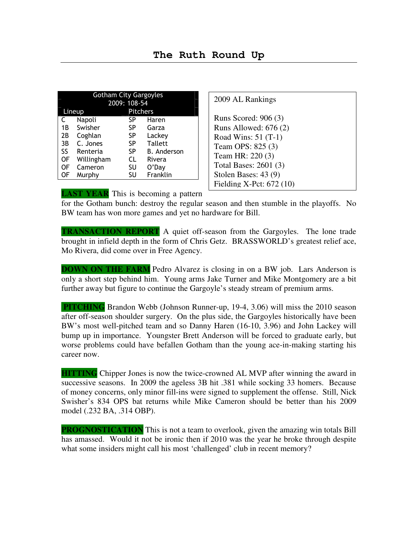| <b>Gotham City Gargoyles</b> |            |              |                    |  |
|------------------------------|------------|--------------|--------------------|--|
|                              |            | 2009: 108-54 |                    |  |
| <b>Pitchers</b><br>Lineup    |            |              |                    |  |
| Napoli<br>SP<br>Haren        |            |              |                    |  |
| 1В                           | Swisher    | SP           | Garza              |  |
| 2B                           | Coghlan    | <b>SP</b>    | Lackey             |  |
| 3B                           | C. Jones   | SP           | <b>Tallett</b>     |  |
| SS.                          | Renteria   | <b>SP</b>    | <b>B.</b> Anderson |  |
| 0F                           | Willingham | CL           | Rivera             |  |
| 0F                           | Cameron    | SU           | O'Day              |  |
| OF                           | Murphy     | SU           | Franklin           |  |

2009 AL Rankings

Runs Scored: 906 (3) Runs Allowed: 676 (2) Road Wins: 51 (T-1) Team OPS: 825 (3) Team HR: 220 (3) Total Bases: 2601 (3) Stolen Bases: 43 (9) Fielding X-Pct: 672 (10)

**LAST YEAR** This is becoming a pattern

for the Gotham bunch: destroy the regular season and then stumble in the playoffs. No BW team has won more games and yet no hardware for Bill.

**TRANSACTION REPORT** A quiet off-season from the Gargoyles. The lone trade brought in infield depth in the form of Chris Getz. BRASSWORLD's greatest relief ace, Mo Rivera, did come over in Free Agency.

**DOWN ON THE FARM** Pedro Alvarez is closing in on a BW job. Lars Anderson is only a short step behind him. Young arms Jake Turner and Mike Montgomery are a bit further away but figure to continue the Gargoyle's steady stream of premium arms.

 **PITCHING** Brandon Webb (Johnson Runner-up, 19-4, 3.06) will miss the 2010 season after off-season shoulder surgery. On the plus side, the Gargoyles historically have been BW's most well-pitched team and so Danny Haren (16-10, 3.96) and John Lackey will bump up in importance. Youngster Brett Anderson will be forced to graduate early, but worse problems could have befallen Gotham than the young ace-in-making starting his career now.

**HITTING** Chipper Jones is now the twice-crowned AL MVP after winning the award in successive seasons. In 2009 the ageless 3B hit .381 while socking 33 homers. Because of money concerns, only minor fill-ins were signed to supplement the offense. Still, Nick Swisher's 834 OPS bat returns while Mike Cameron should be better than his 2009 model (.232 BA, .314 OBP).

**PROGNOSTICATION** This is not a team to overlook, given the amazing win totals Bill has amassed. Would it not be ironic then if 2010 was the year he broke through despite what some insiders might call his most 'challenged' club in recent memory?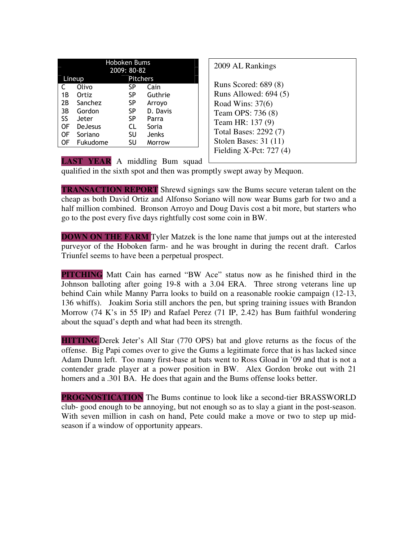| <b>Hoboken Bums</b> |                |                 |          |  |
|---------------------|----------------|-----------------|----------|--|
|                     |                | 2009: 80-82     |          |  |
|                     | Lineup         | <b>Pitchers</b> |          |  |
|                     | Olivo          | SP              | Cain     |  |
| 1B                  | Ortiz          | SP              | Guthrie  |  |
| 2Β                  | Sanchez        | SP              | Arroyo   |  |
| 3B                  | Gordon         | SP              | D. Davis |  |
| SS.                 | Jeter          | SP              | Parra    |  |
| OF                  | <b>DeJesus</b> | CL              | Soria    |  |
| OF                  | Soriano        | SU              | Jenks    |  |
| OF                  | Fukudome       | SU              | Morrow   |  |

| 2009 AL Rankings                                                                                                                                                                            |  |
|---------------------------------------------------------------------------------------------------------------------------------------------------------------------------------------------|--|
| Runs Scored: 689 (8)<br>Runs Allowed: 694 (5)<br>Road Wins: $37(6)$<br>Team OPS: 736 (8)<br>Team HR: 137 (9)<br>Total Bases: 2292 (7)<br>Stolen Bases: $31(11)$<br>Fielding X-Pct: $727(4)$ |  |
|                                                                                                                                                                                             |  |

**LAST YEAR** A middling Bum squad

qualified in the sixth spot and then was promptly swept away by Mequon.

**TRANSACTION REPORT** Shrewd signings saw the Bums secure veteran talent on the cheap as both David Ortiz and Alfonso Soriano will now wear Bums garb for two and a half million combined. Bronson Arroyo and Doug Davis cost a bit more, but starters who go to the post every five days rightfully cost some coin in BW.

**DOWN ON THE FARM** Tyler Matzek is the lone name that jumps out at the interested purveyor of the Hoboken farm- and he was brought in during the recent draft. Carlos Triunfel seems to have been a perpetual prospect.

**PITCHING** Matt Cain has earned "BW Ace" status now as he finished third in the Johnson balloting after going 19-8 with a 3.04 ERA. Three strong veterans line up behind Cain while Manny Parra looks to build on a reasonable rookie campaign (12-13, 136 whiffs). Joakim Soria still anchors the pen, but spring training issues with Brandon Morrow (74 K's in 55 IP) and Rafael Perez (71 IP, 2.42) has Bum faithful wondering about the squad's depth and what had been its strength.

**HITTING** Derek Jeter's All Star (770 OPS) bat and glove returns as the focus of the offense. Big Papi comes over to give the Gums a legitimate force that is has lacked since Adam Dunn left. Too many first-base at bats went to Ross Gload in '09 and that is not a contender grade player at a power position in BW. Alex Gordon broke out with 21 homers and a .301 BA. He does that again and the Bums offense looks better.

**PROGNOSTICATION** The Bums continue to look like a second-tier BRASSWORLD club- good enough to be annoying, but not enough so as to slay a giant in the post-season. With seven million in cash on hand, Pete could make a move or two to step up midseason if a window of opportunity appears.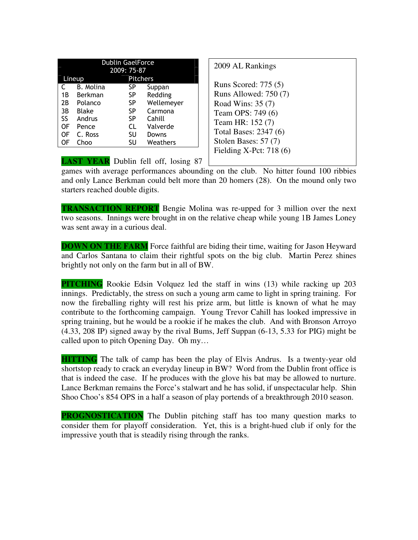| <b>Dublin GaelForce</b> |              |                 |            |  |
|-------------------------|--------------|-----------------|------------|--|
|                         |              | 2009: 75-87     |            |  |
| Lineup                  |              | <b>Pitchers</b> |            |  |
|                         | B. Molina    | SP              | Suppan     |  |
| 1B                      | Berkman      | <b>SP</b>       | Redding    |  |
| 2Β                      | Polanco      | SP              | Wellemeyer |  |
| 3B                      | <b>Blake</b> | SP              | Carmona    |  |
| SS.                     | Andrus       | SP              | Cahill     |  |
| OF                      | Pence        | CL              | Valverde   |  |
| OF                      | C. Ross      | SU              | Downs      |  |
| ΟF                      | Choo         | SU              | Weathers   |  |

| 2009 AL Rankings                                                                                                                                                                         |  |
|------------------------------------------------------------------------------------------------------------------------------------------------------------------------------------------|--|
| Runs Scored: 775 (5)<br>Runs Allowed: 750 (7)<br>Road Wins: 35 (7)<br>Team OPS: 749 (6)<br>Team HR: 152 (7)<br>Total Bases: 2347 (6)<br>Stolen Bases: 57 (7)<br>Fielding X-Pct: $718(6)$ |  |
|                                                                                                                                                                                          |  |

**LAST YEAR** Dublin fell off, losing 87

games with average performances abounding on the club. No hitter found 100 ribbies and only Lance Berkman could belt more than 20 homers (28). On the mound only two starters reached double digits.

**TRANSACTION REPORT** Bengie Molina was re-upped for 3 million over the next two seasons. Innings were brought in on the relative cheap while young 1B James Loney was sent away in a curious deal.

**DOWN ON THE FARM** Force faithful are biding their time, waiting for Jason Heyward and Carlos Santana to claim their rightful spots on the big club. Martin Perez shines brightly not only on the farm but in all of BW.

**PITCHING** Rookie Edsin Volquez led the staff in wins (13) while racking up 203 innings. Predictably, the stress on such a young arm came to light in spring training. For now the fireballing righty will rest his prize arm, but little is known of what he may contribute to the forthcoming campaign. Young Trevor Cahill has looked impressive in spring training, but he would be a rookie if he makes the club. And with Bronson Arroyo (4.33, 208 IP) signed away by the rival Bums, Jeff Suppan (6-13, 5.33 for PIG) might be called upon to pitch Opening Day. Oh my…

**HITTING** The talk of camp has been the play of Elvis Andrus. Is a twenty-year old shortstop ready to crack an everyday lineup in BW? Word from the Dublin front office is that is indeed the case. If he produces with the glove his bat may be allowed to nurture. Lance Berkman remains the Force's stalwart and he has solid, if unspectacular help. Shin Shoo Choo's 854 OPS in a half a season of play portends of a breakthrough 2010 season.

**PROGNOSTICATION** The Dublin pitching staff has too many question marks to consider them for playoff consideration. Yet, this is a bright-hued club if only for the impressive youth that is steadily rising through the ranks.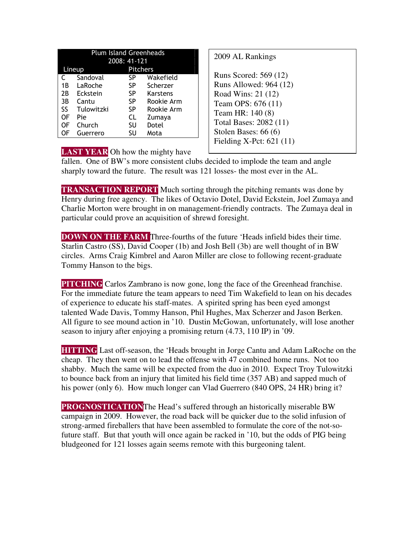|    | <b>Plum Island Greenheads</b> |                 |            |  |  |
|----|-------------------------------|-----------------|------------|--|--|
|    |                               | 2008: 41-121    |            |  |  |
|    | Lineup                        | <b>Pitchers</b> |            |  |  |
| C  | Sandoval                      | <b>SP</b>       | Wakefield  |  |  |
| 1B | LaRoche                       | SP.             | Scherzer   |  |  |
| 2B | Eckstein                      | SP.             | Karstens   |  |  |
| 3B | Cantu                         | <b>SP</b>       | Rookie Arm |  |  |
| SS | Tulowitzki                    | <b>SP</b>       | Rookie Arm |  |  |
| OF | Pie                           | CL              | Zumaya     |  |  |
| OF | Church                        | SU              | Dotel      |  |  |
| OF | Guerrero                      | SU              | Mota       |  |  |

```
2009 AL Rankings 
Runs Scored: 569 (12) 
Runs Allowed: 964 (12) 
Road Wins: 21 (12) 
Team OPS: 676 (11) 
Team HR: 140 (8) 
Total Bases: 2082 (11) 
Stolen Bases: 66 (6) 
Fielding X-Pct: 621 (11)
```
**LAST YEAR** Oh how the mighty have

fallen. One of BW's more consistent clubs decided to implode the team and angle sharply toward the future. The result was 121 losses- the most ever in the AL.

**TRANSACTION REPORT** Much sorting through the pitching remants was done by Henry during free agency. The likes of Octavio Dotel, David Eckstein, Joel Zumaya and Charlie Morton were brought in on management-friendly contracts. The Zumaya deal in particular could prove an acquisition of shrewd foresight.

**DOWN ON THE FARM** Three-fourths of the future 'Heads infield bides their time. Starlin Castro (SS), David Cooper (1b) and Josh Bell (3b) are well thought of in BW circles. Arms Craig Kimbrel and Aaron Miller are close to following recent-graduate Tommy Hanson to the bigs.

**PITCHING** Carlos Zambrano is now gone, long the face of the Greenhead franchise. For the immediate future the team appears to need Tim Wakefield to lean on his decades of experience to educate his staff-mates. A spirited spring has been eyed amongst talented Wade Davis, Tommy Hanson, Phil Hughes, Max Scherzer and Jason Berken. All figure to see mound action in '10. Dustin McGowan, unfortunately, will lose another season to injury after enjoying a promising return (4.73, 110 IP) in '09.

**HITTING** Last off-season, the 'Heads brought in Jorge Cantu and Adam LaRoche on the cheap. They then went on to lead the offense with 47 combined home runs. Not too shabby. Much the same will be expected from the duo in 2010. Expect Troy Tulowitzki to bounce back from an injury that limited his field time (357 AB) and sapped much of his power (only 6). How much longer can Vlad Guerrero (840 OPS, 24 HR) bring it?

**PROGNOSTICATION**The Head's suffered through an historically miserable BW campaign in 2009. However, the road back will be quicker due to the solid infusion of strong-armed fireballers that have been assembled to formulate the core of the not-sofuture staff. But that youth will once again be racked in '10, but the odds of PIG being bludgeoned for 121 losses again seems remote with this burgeoning talent.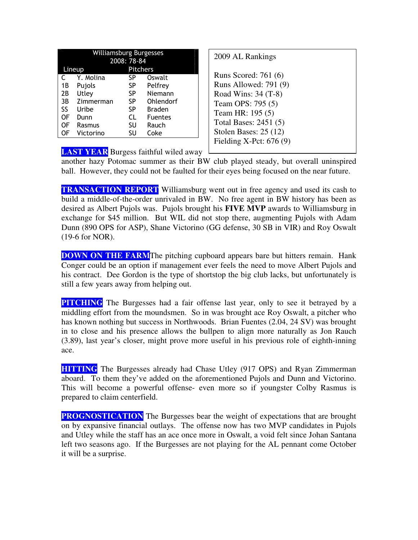| Williamsburg Burgesses |           |                 |                |  |
|------------------------|-----------|-----------------|----------------|--|
|                        |           | 2008: 78-84     |                |  |
|                        | Lineup    | <b>Pitchers</b> |                |  |
| C                      | Y. Molina | SP              | Oswalt         |  |
| 1Β                     | Pujols    | SP              | Pelfrey        |  |
| 2B                     | Utley     | SP              | Niemann        |  |
| 3B                     | Zimmerman | SP              | Ohlendorf      |  |
| SS                     | Uribe     | SP              | <b>Braden</b>  |  |
| OF                     | Dunn      | <b>CL</b>       | <b>Fuentes</b> |  |
| OF                     | Rasmus    | SU              | Rauch          |  |
| OF                     | Victorino | SU              | Coke           |  |

| 2009 AL Rankings         |
|--------------------------|
| Runs Scored: 761 (6)     |
| Runs Allowed: 791 (9)    |
| Road Wins: 34 (T-8)      |
| Team OPS: 795 (5)        |
| Team HR: 195 (5)         |
| Total Bases: 2451 (5)    |
| Stolen Bases: $25(12)$   |
| Fielding X-Pct: $676(9)$ |
|                          |

**LAST YEAR** Burgess faithful wiled away

another hazy Potomac summer as their BW club played steady, but overall uninspired ball. However, they could not be faulted for their eyes being focused on the near future.

**TRANSACTION REPORT** Williamsburg went out in free agency and used its cash to build a middle-of-the-order unrivaled in BW. No free agent in BW history has been as desired as Albert Pujols was. Pujols brought his **FIVE MVP** awards to Williamsburg in exchange for \$45 million. But WIL did not stop there, augmenting Pujols with Adam Dunn (890 OPS for ASP), Shane Victorino (GG defense, 30 SB in VIR) and Roy Oswalt (19-6 for NOR).

**DOWN ON THE FARM** The pitching cupboard appears bare but hitters remain. Hank Conger could be an option if management ever feels the need to move Albert Pujols and his contract. Dee Gordon is the type of shortstop the big club lacks, but unfortunately is still a few years away from helping out.

**PITCHING** The Burgesses had a fair offense last year, only to see it betrayed by a middling effort from the moundsmen. So in was brought ace Roy Oswalt, a pitcher who has known nothing but success in Northwoods. Brian Fuentes (2.04, 24 SV) was brought in to close and his presence allows the bullpen to align more naturally as Jon Rauch (3.89), last year's closer, might prove more useful in his previous role of eighth-inning ace.

**HITTING** The Burgesses already had Chase Utley (917 OPS) and Ryan Zimmerman aboard. To them they've added on the aforementioned Pujols and Dunn and Victorino. This will become a powerful offense- even more so if youngster Colby Rasmus is prepared to claim centerfield.

**PROGNOSTICATION** The Burgesses bear the weight of expectations that are brought on by expansive financial outlays. The offense now has two MVP candidates in Pujols and Utley while the staff has an ace once more in Oswalt, a void felt since Johan Santana left two seasons ago. If the Burgesses are not playing for the AL pennant come October it will be a surprise.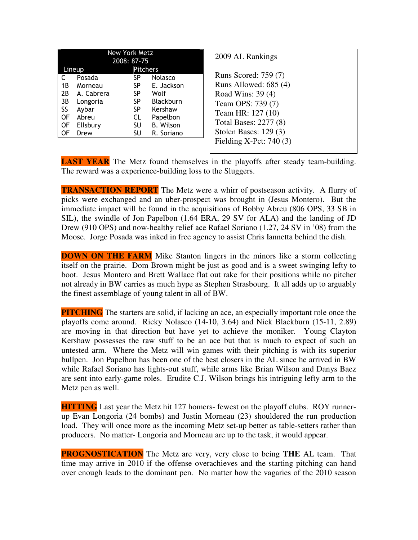| New York Metz<br>2008: 87-75                                                                                                           |                                                                   |                                                                                                            | 2009 AL Rankings                                                                                                                                                                            |
|----------------------------------------------------------------------------------------------------------------------------------------|-------------------------------------------------------------------|------------------------------------------------------------------------------------------------------------|---------------------------------------------------------------------------------------------------------------------------------------------------------------------------------------------|
| Lineup<br>Posada<br>1 B<br>Morneau<br>2B<br>A. Cabrera<br>3В<br>Longoria<br>SS<br>Aybar<br>0F<br>Abreu<br>0F<br>Ellsbury<br>0F<br>Drew | <b>Pitchers</b><br>SP.<br>SP<br>SP<br>SP<br>SP<br>CL.<br>SU<br>SU | <b>Nolasco</b><br>E. Jackson<br>Wolf<br><b>Blackburn</b><br>Kershaw<br>Papelbon<br>B. Wilson<br>R. Soriano | Runs Scored: 759 (7)<br>Runs Allowed: 685 (4)<br>Road Wins: 39 (4)<br>Team OPS: 739 (7)<br>Team HR: 127 (10)<br>Total Bases: 2277 (8)<br>Stolen Bases: $129(3)$<br>Fielding X-Pct: $740(3)$ |

**LAST YEAR** The Metz found themselves in the playoffs after steady team-building. The reward was a experience-building loss to the Sluggers.

**TRANSACTION REPORT** The Metz were a whirr of postseason activity. A flurry of picks were exchanged and an uber-prospect was brought in (Jesus Montero). But the immediate impact will be found in the acquisitions of Bobby Abreu (806 OPS, 33 SB in SIL), the swindle of Jon Papelbon (1.64 ERA, 29 SV for ALA) and the landing of JD Drew (910 OPS) and now-healthy relief ace Rafael Soriano (1.27, 24 SV in '08) from the Moose. Jorge Posada was inked in free agency to assist Chris Iannetta behind the dish.

**DOWN ON THE FARM** Mike Stanton lingers in the minors like a storm collecting itself on the prairie. Dom Brown might be just as good and is a sweet swinging lefty to boot. Jesus Montero and Brett Wallace flat out rake for their positions while no pitcher not already in BW carries as much hype as Stephen Strasbourg. It all adds up to arguably the finest assemblage of young talent in all of BW.

**PITCHING** The starters are solid, if lacking an ace, an especially important role once the playoffs come around. Ricky Nolasco (14-10, 3.64) and Nick Blackburn (15-11, 2.89) are moving in that direction but have yet to achieve the moniker. Young Clayton Kershaw possesses the raw stuff to be an ace but that is much to expect of such an untested arm. Where the Metz will win games with their pitching is with its superior bullpen. Jon Papelbon has been one of the best closers in the AL since he arrived in BW while Rafael Soriano has lights-out stuff, while arms like Brian Wilson and Danys Baez are sent into early-game roles. Erudite C.J. Wilson brings his intriguing lefty arm to the Metz pen as well.

**HITTING** Last year the Metz hit 127 homers- fewest on the playoff clubs. ROY runnerup Evan Longoria (24 bombs) and Justin Morneau (23) shouldered the run production load. They will once more as the incoming Metz set-up better as table-setters rather than producers. No matter- Longoria and Morneau are up to the task, it would appear.

**PROGNOSTICATION** The Metz are very, very close to being **THE** AL team. That time may arrive in 2010 if the offense overachieves and the starting pitching can hand over enough leads to the dominant pen. No matter how the vagaries of the 2010 season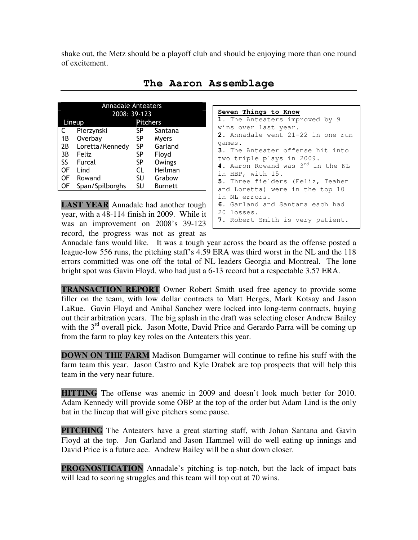shake out, the Metz should be a playoff club and should be enjoying more than one round of excitement.

| <b>Annadale Anteaters</b> |                 |          |                |  |  |  |
|---------------------------|-----------------|----------|----------------|--|--|--|
|                           | 2008: 39-123    |          |                |  |  |  |
|                           | Lineup          | Pitchers |                |  |  |  |
| C                         | Pierzynski      | SP       | Santana        |  |  |  |
| 1B                        | Overbay         | SP       | Myers          |  |  |  |
| 2B                        | Loretta/Kennedy | SP       | Garland        |  |  |  |
| 3B                        | Feliz           | SP       | Floyd          |  |  |  |
| SS                        | Furcal          | SP       | Owings         |  |  |  |
| OF                        | Lind            | CL       | Heilman        |  |  |  |
| 0F                        | Rowand          | SU       | Grabow         |  |  |  |
| OF                        | Span/Spilborghs | SU       | <b>Burnett</b> |  |  |  |

**The Aaron Assemblage** 

**LAST YEAR** Annadale had another tough year, with a 48-114 finish in 2009. While it was an improvement on 2008's 39-123 record, the progress was not as great as

```
Seven Things to Know
1. The Anteaters improved by 9
wins over last year. 
2. Annadale went 21-22 in one run 
games. 
3. The Anteater offense hit into 
two triple plays in 2009. 
4. Aaron Rowand was 3rd in the NL 
in HBP, with 15. 
5. Three fielders (Feliz, Teahen 
and Loretta) were in the top 10 
in NL errors. 
6. Garland and Santana each had 
20 losses. 
7. Robert Smith is very patient.
```
Annadale fans would like. It was a tough year across the board as the offense posted a league-low 556 runs, the pitching staff's 4.59 ERA was third worst in the NL and the 118 errors committed was one off the total of NL leaders Georgia and Montreal. The lone bright spot was Gavin Floyd, who had just a 6-13 record but a respectable 3.57 ERA.

**TRANSACTION REPORT** Owner Robert Smith used free agency to provide some filler on the team, with low dollar contracts to Matt Herges, Mark Kotsay and Jason LaRue. Gavin Floyd and Anibal Sanchez were locked into long-term contracts, buying out their arbitration years. The big splash in the draft was selecting closer Andrew Bailey with the  $3<sup>rd</sup>$  overall pick. Jason Motte, David Price and Gerardo Parra will be coming up from the farm to play key roles on the Anteaters this year.

**DOWN ON THE FARM** Madison Bumgarner will continue to refine his stuff with the farm team this year. Jason Castro and Kyle Drabek are top prospects that will help this team in the very near future.

**HITTING** The offense was anemic in 2009 and doesn't look much better for 2010. Adam Kennedy will provide some OBP at the top of the order but Adam Lind is the only bat in the lineup that will give pitchers some pause.

**PITCHING** The Anteaters have a great starting staff, with Johan Santana and Gavin Floyd at the top. Jon Garland and Jason Hammel will do well eating up innings and David Price is a future ace. Andrew Bailey will be a shut down closer.

**PROGNOSTICATION** Annadale's pitching is top-notch, but the lack of impact bats will lead to scoring struggles and this team will top out at 70 wins.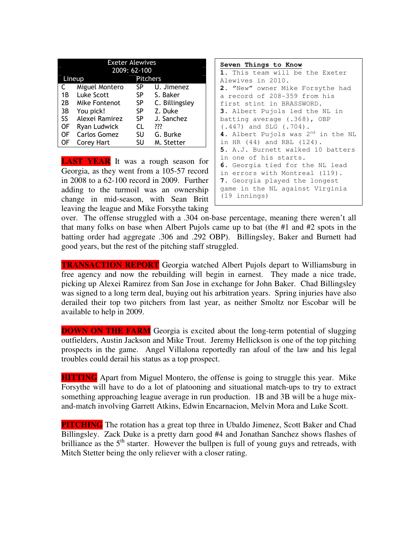|    | <b>Exeter Alewives</b> |                 |                |  |  |  |
|----|------------------------|-----------------|----------------|--|--|--|
|    | 2009: 62-100           |                 |                |  |  |  |
|    | Lineup                 | <b>Pitchers</b> |                |  |  |  |
| C  | Miguel Montero         | SP              | U. Jimenez     |  |  |  |
| 1B | Luke Scott             | SP              | S. Baker       |  |  |  |
| 2В | Mike Fontenot          | SP              | C. Billingsley |  |  |  |
| 3B | You pick!              | SP              | Z. Duke        |  |  |  |
| SS | Alexei Ramirez         | SP              | J. Sanchez     |  |  |  |
| 0F | Ryan Ludwick           | CL              | ???            |  |  |  |
| OF | Carlos Gomez           | SU              | G. Burke       |  |  |  |
| ΟF | Corey Hart             | SU              | M. Stetter     |  |  |  |

**LAST YEAR** It was a rough season for Georgia, as they went from a 105-57 record in 2008 to a 62-100 record in 2009. Further adding to the turmoil was an ownership change in mid-season, with Sean Britt leaving the league and Mike Forsythe taking

```
Seven Things to Know
1. This team will be the Exeter 
Alewives in 2010. 
2. "New" owner Mike Forsythe had 
a record of 208-359 from his 
first stint in BRASSWORD. 
3. Albert Pujols led the NL in 
batting average (.368), OBP 
(.447) and SLG (.704). 
4. Albert Pujols was 2nd in the NL 
in HR (44) and RBL (124). 
5. A.J. Burnett walked 10 batters 
in one of his starts. 
6. Georgia tied for the NL lead 
in errors with Montreal (119). 
7. Georgia played the longest 
game in the NL against Virginia 
(19 innings)
```
over. The offense struggled with a .304 on-base percentage, meaning there weren't all that many folks on base when Albert Pujols came up to bat (the #1 and #2 spots in the batting order had aggregate .306 and .292 OBP). Billingsley, Baker and Burnett had good years, but the rest of the pitching staff struggled.

**TRANSACTION REPORT** Georgia watched Albert Pujols depart to Williamsburg in free agency and now the rebuilding will begin in earnest. They made a nice trade, picking up Alexei Ramirez from San Jose in exchange for John Baker. Chad Billingsley was signed to a long term deal, buying out his arbitration years. Spring injuries have also derailed their top two pitchers from last year, as neither Smoltz nor Escobar will be available to help in 2009.

**DOWN ON THE FARM** Georgia is excited about the long-term potential of slugging outfielders, Austin Jackson and Mike Trout. Jeremy Hellickson is one of the top pitching prospects in the game. Angel Villalona reportedly ran afoul of the law and his legal troubles could derail his status as a top prospect.

**HITTING** Apart from Miguel Montero, the offense is going to struggle this year. Mike Forsythe will have to do a lot of platooning and situational match-ups to try to extract something approaching league average in run production. 1B and 3B will be a huge mixand-match involving Garrett Atkins, Edwin Encarnacion, Melvin Mora and Luke Scott.

**PITCHING** The rotation has a great top three in Ubaldo Jimenez, Scott Baker and Chad Billingsley. Zack Duke is a pretty darn good #4 and Jonathan Sanchez shows flashes of brilliance as the  $5<sup>th</sup>$  starter. However the bullpen is full of young guys and retreads, with Mitch Stetter being the only reliever with a closer rating.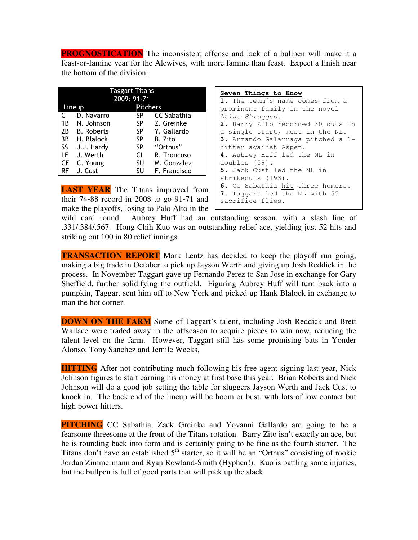**PROGNOSTICATION** The inconsistent offense and lack of a bullpen will make it a feast-or-famine year for the Alewives, with more famine than feast. Expect a finish near the bottom of the division.

| Taggart Titans |                   |                 |                    |  |  |  |  |
|----------------|-------------------|-----------------|--------------------|--|--|--|--|
|                | 2009: 91-71       |                 |                    |  |  |  |  |
| Lineup         |                   | <b>Pitchers</b> |                    |  |  |  |  |
| C              | D. Navarro        | SP              | <b>CC Sabathia</b> |  |  |  |  |
| 1В             | N. Johnson        | SP              | Z. Greinke         |  |  |  |  |
| 2B             | <b>B.</b> Roberts | SP              | Y. Gallardo        |  |  |  |  |
| 3B             | H. Blalock        | SP              | B. Zito            |  |  |  |  |
| SS.            | J.J. Hardy        | SP              | "Orthus"           |  |  |  |  |
| LF             | J. Werth          | CL              | R. Troncoso        |  |  |  |  |
| CF             | C. Young          | SU              | M. Gonzalez        |  |  |  |  |
| RF             | J. Cust           | SU              | F. Francisco       |  |  |  |  |

**LAST YEAR** The Titans improved from their 74-88 record in 2008 to go 91-71 and make the playoffs, losing to Palo Alto in the

```
Seven Things to Know
1. The team's name comes from a 
prominent family in the novel 
Atlas Shrugged. 
2. Barry Zito recorded 30 outs in 
a single start, most in the NL. 
3. Armando Galarraga pitched a 1-
hitter against Aspen. 
4. Aubrey Huff led the NL in 
doubles (59). 
5. Jack Cust led the NL in 
strikeouts (193). 
6. CC Sabathia hit three homers. 
7. Taggart led the NL with 55 
sacrifice flies.
```
wild card round. Aubrey Huff had an outstanding season, with a slash line of .331/.384/.567. Hong-Chih Kuo was an outstanding relief ace, yielding just 52 hits and striking out 100 in 80 relief innings.

**TRANSACTION REPORT** Mark Lentz has decided to keep the playoff run going, making a big trade in October to pick up Jayson Werth and giving up Josh Reddick in the process. In November Taggart gave up Fernando Perez to San Jose in exchange for Gary Sheffield, further solidifying the outfield. Figuring Aubrey Huff will turn back into a pumpkin, Taggart sent him off to New York and picked up Hank Blalock in exchange to man the hot corner.

**DOWN ON THE FARM** Some of Taggart's talent, including Josh Reddick and Brett Wallace were traded away in the offseason to acquire pieces to win now, reducing the talent level on the farm. However, Taggart still has some promising bats in Yonder Alonso, Tony Sanchez and Jemile Weeks,

**HITTING** After not contributing much following his free agent signing last year, Nick Johnson figures to start earning his money at first base this year. Brian Roberts and Nick Johnson will do a good job setting the table for sluggers Jayson Werth and Jack Cust to knock in. The back end of the lineup will be boom or bust, with lots of low contact but high power hitters.

**PITCHING** CC Sabathia, Zack Greinke and Yovanni Gallardo are going to be a fearsome threesome at the front of the Titans rotation. Barry Zito isn't exactly an ace, but he is rounding back into form and is certainly going to be fine as the fourth starter. The Titans don't have an established  $5<sup>th</sup>$  starter, so it will be an "Orthus" consisting of rookie Jordan Zimmermann and Ryan Rowland-Smith (Hyphen!). Kuo is battling some injuries, but the bullpen is full of good parts that will pick up the slack.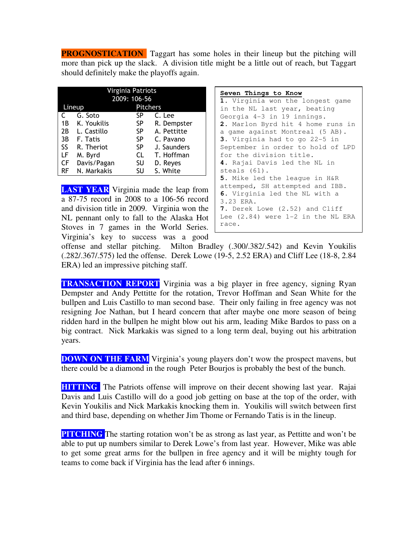**PROGNOSTICATION** Taggart has some holes in their lineup but the pitching will more than pick up the slack. A division title might be a little out of reach, but Taggart should definitely make the playoffs again.

| Virginia Patriots |               |              |             |  |  |
|-------------------|---------------|--------------|-------------|--|--|
|                   |               | 2009: 106-56 |             |  |  |
|                   | <b>Lineup</b> | Pitchers     |             |  |  |
|                   | G. Soto       | SP           | C. Lee      |  |  |
| 1B                | K. Youkilis   | SP           | R. Dempster |  |  |
| 2B                | L. Castillo   | SP.          | A. Pettitte |  |  |
| 3B                | F. Tatis      | SP           | C. Pavano   |  |  |
| SS.               | R. Theriot    | SP           | J. Saunders |  |  |
| LF                | M. Byrd       | CL           | T. Hoffman  |  |  |
| CF                | Davis/Pagan   | SU           | D. Reyes    |  |  |
| RF                | N. Markakis   | SU           | S. White    |  |  |

**LAST YEAR** Virginia made the leap from a 87-75 record in 2008 to a 106-56 record and division title in 2009. Virginia won the NL pennant only to fall to the Alaska Hot Stoves in 7 games in the World Series. Virginia's key to success was a good

| Seven Things to Know              |
|-----------------------------------|
| 1. Virginia won the longest game  |
| in the NL last year, beating      |
| Georgia 4-3 in 19 innings.        |
| 2. Marlon Byrd hit 4 home runs in |
| a game against Montreal (5 AB).   |
| 3. Virginia had to go 22-5 in     |
| September in order to hold of LPD |
| for the division title.           |
| 4. Rajai Davis led the NL in      |
| steals (61).                      |
| 5. Mike led the leaque in H&R     |
| attemped, SH attempted and IBB.   |
| 6. Virginia led the NL with a     |
| 3.23 ERA.                         |

**7.** Derek Lowe (2.52) and Cliff Lee (2.84) were 1-2 in the NL ERA race.

offense and stellar pitching. Milton Bradley (.300/.382/.542) and Kevin Youkilis (.282/.367/.575) led the offense. Derek Lowe (19-5, 2.52 ERA) and Cliff Lee (18-8, 2.84 ERA) led an impressive pitching staff.

**TRANSACTION REPORT** Virginia was a big player in free agency, signing Ryan Dempster and Andy Pettitte for the rotation, Trevor Hoffman and Sean White for the bullpen and Luis Castillo to man second base. Their only failing in free agency was not resigning Joe Nathan, but I heard concern that after maybe one more season of being ridden hard in the bullpen he might blow out his arm, leading Mike Bardos to pass on a big contract. Nick Markakis was signed to a long term deal, buying out his arbitration years.

**DOWN ON THE FARM** Virginia's young players don't wow the prospect mavens, but there could be a diamond in the rough Peter Bourjos is probably the best of the bunch.

**HITTING** The Patriots offense will improve on their decent showing last year. Rajai Davis and Luis Castillo will do a good job getting on base at the top of the order, with Kevin Youkilis and Nick Markakis knocking them in. Youkilis will switch between first and third base, depending on whether Jim Thome or Fernando Tatis is in the lineup.

**PITCHING** The starting rotation won't be as strong as last year, as Pettitte and won't be able to put up numbers similar to Derek Lowe's from last year. However, Mike was able to get some great arms for the bullpen in free agency and it will be mighty tough for teams to come back if Virginia has the lead after 6 innings.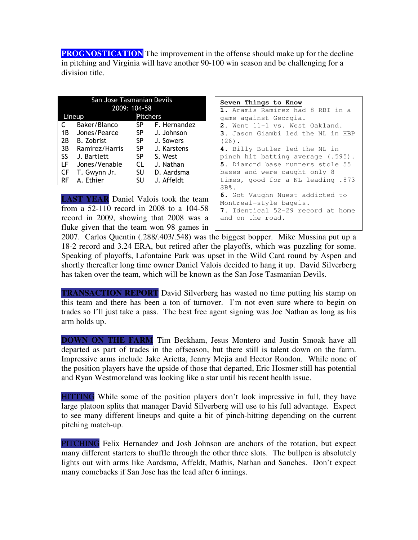**PROGNOSTICATION** The improvement in the offense should make up for the decline in pitching and Virginia will have another 90-100 win season and be challenging for a division title.

| San Jose Tasmanian Devils |                   |     |              |  |  |
|---------------------------|-------------------|-----|--------------|--|--|
|                           | 2009: 104-58      |     |              |  |  |
| <b>Pitchers</b><br>Lineup |                   |     |              |  |  |
| C                         | Baker/Blanco      | SP  | F. Hernandez |  |  |
| 1B                        | Jones/Pearce      | SP  | J. Johnson   |  |  |
| 2B                        | <b>B.</b> Zobrist | SP. | J. Sowers    |  |  |
| 3B                        | Ramirez/Harris    | SP  | J. Karstens  |  |  |
| SS.                       | J. Bartlett       | SP  | S. West      |  |  |
| LF                        | Jones/Venable     | CL  | J. Nathan    |  |  |
| CF                        | T. Gwynn Jr.      | SU  | D. Aardsma   |  |  |
| RF                        | A. Ethier         | SU  | J. Affeldt   |  |  |

**LAST YEAR** Daniel Valois took the team from a 52-110 record in 2008 to a 104-58 record in 2009, showing that 2008 was a fluke given that the team won 98 games in

```
Seven Things to Know
 1. Aramis Ramirez had 8 RBI in a 
game against Georgia. 
2. Went 11-1 vs. West Oakland. 
3. Jason Giambi led the NL in HBP 
(26). 
4. Billy Butler led the NL in 
pinch hit batting average (.595). 
5. Diamond base runners stole 55 
bases and were caught only 8 
times, good for a NL leading .873 
 SB%. 
 6. Got Vaughn Nuest addicted to 
Montreal-style bagels. 
 7. Identical 52-29 record at home 
 and on the road.
```
2007. Carlos Quentin (.288/.403/.548) was the biggest bopper. Mike Mussina put up a 18-2 record and 3.24 ERA, but retired after the playoffs, which was puzzling for some. Speaking of playoffs, Lafontaine Park was upset in the Wild Card round by Aspen and shortly thereafter long time owner Daniel Valois decided to hang it up. David Silverberg has taken over the team, which will be known as the San Jose Tasmanian Devils.

**TRANSACTION REPORT** David Silverberg has wasted no time putting his stamp on this team and there has been a ton of turnover. I'm not even sure where to begin on trades so I'll just take a pass. The best free agent signing was Joe Nathan as long as his arm holds up.

**DOWN ON THE FARM** Tim Beckham, Jesus Montero and Justin Smoak have all departed as part of trades in the offseason, but there still is talent down on the farm. Impressive arms include Jake Arietta, Jenrry Mejia and Hector Rondon. While none of the position players have the upside of those that departed, Eric Hosmer still has potential and Ryan Westmoreland was looking like a star until his recent health issue.

HITTING While some of the position players don't look impressive in full, they have large platoon splits that manager David Silverberg will use to his full advantage. Expect to see many different lineups and quite a bit of pinch-hitting depending on the current pitching match-up.

PITCHING Felix Hernandez and Josh Johnson are anchors of the rotation, but expect many different starters to shuffle through the other three slots. The bullpen is absolutely lights out with arms like Aardsma, Affeldt, Mathis, Nathan and Sanches. Don't expect many comebacks if San Jose has the lead after 6 innings.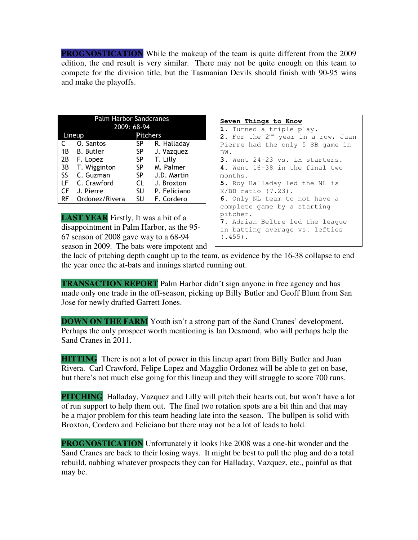**PROGNOSTICATION** While the makeup of the team is quite different from the 2009 edition, the end result is very similar. There may not be quite enough on this team to compete for the division title, but the Tasmanian Devils should finish with 90-95 wins and make the playoffs.

| <b>Palm Harbor Sandcranes</b> |                  |                 |              |  |
|-------------------------------|------------------|-----------------|--------------|--|
|                               |                  | 2009: 68-94     |              |  |
|                               | Lineup           | <b>Pitchers</b> |              |  |
| C                             | O. Santos        | SP              | R. Halladay  |  |
| 1В                            | <b>B.</b> Butler | SP              | J. Vazquez   |  |
| 2B                            | F. Lopez         | SP.             | T. Lilly     |  |
| 3B                            | T. Wigginton     | SP              | M. Palmer    |  |
| SS.                           | C. Guzman        | SP              | J.D. Martin  |  |
| LF.                           | C. Crawford      | CL              | J. Broxton   |  |
| CF                            | J. Pierre        | SU              | P. Feliciano |  |
| RF                            | Ordonez/Rivera   | SU              | F. Cordero   |  |

**LAST YEAR** Firstly, It was a bit of a disappointment in Palm Harbor, as the 95- 67 season of 2008 gave way to a 68-94 season in 2009. The bats were impotent and

#### **Seven Things to Know**

**1.** Turned a triple play. **2.** For the 2<sup>nd</sup> year in a row, Juan Pierre had the only 5 SB game in BW. **3.** Went 24-23 vs. LH starters. **4.** Went 16-38 in the final two months. **5.** Roy Halladay led the NL is K/BB ratio (7.23). **6.** Only NL team to not have a complete game by a starting pitcher. **7.** Adrian Beltre led the league in batting average vs. lefties (.455).

the lack of pitching depth caught up to the team, as evidence by the 16-38 collapse to end the year once the at-bats and innings started running out.

**TRANSACTION REPORT** Palm Harbor didn't sign anyone in free agency and has made only one trade in the off-season, picking up Billy Butler and Geoff Blum from San Jose for newly drafted Garrett Jones.

**DOWN ON THE FARM** Youth isn't a strong part of the Sand Cranes' development. Perhaps the only prospect worth mentioning is Ian Desmond, who will perhaps help the Sand Cranes in 2011.

**HITTING** There is not a lot of power in this lineup apart from Billy Butler and Juan Rivera. Carl Crawford, Felipe Lopez and Magglio Ordonez will be able to get on base, but there's not much else going for this lineup and they will struggle to score 700 runs.

**PITCHING** Halladay, Vazquez and Lilly will pitch their hearts out, but won't have a lot of run support to help them out. The final two rotation spots are a bit thin and that may be a major problem for this team heading late into the season. The bullpen is solid with Broxton, Cordero and Feliciano but there may not be a lot of leads to hold.

**PROGNOSTICATION** Unfortunately it looks like 2008 was a one-hit wonder and the Sand Cranes are back to their losing ways. It might be best to pull the plug and do a total rebuild, nabbing whatever prospects they can for Halladay, Vazquez, etc., painful as that may be.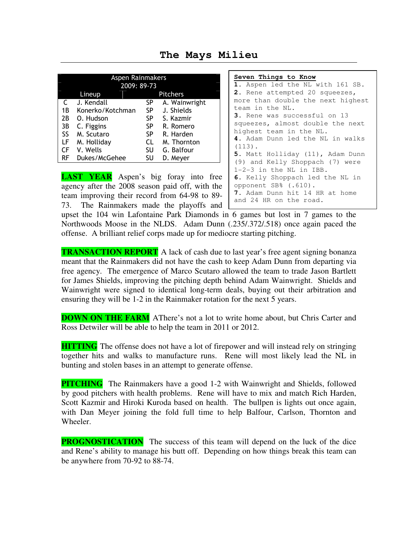| Aspen Rainmakers<br>2009: 89-73 |                  |           |               |  |
|---------------------------------|------------------|-----------|---------------|--|
| <b>Pitchers</b><br>Lineup       |                  |           |               |  |
| C                               | J. Kendall       | SP        | A. Wainwright |  |
| 1B                              | Konerko/Kotchman | SP        | J. Shields    |  |
| 2B                              | O. Hudson        | SP        | S. Kazmir     |  |
| 3B                              | C. Figgins       | SP        | R. Romero     |  |
| SS                              | M. Scutaro       | <b>SP</b> | R. Harden     |  |
| LF                              | M. Holliday      | CL        | M. Thornton   |  |
| CF                              | V. Wells         | SU        | G. Balfour    |  |
| RF                              | Dukes/McGehee    | SU        | D. Meyer      |  |

**The Mays Milieu** 

**LAST YEAR** Aspen's big foray into free agency after the 2008 season paid off, with the team improving their record from 64-98 to 89- 73. The Rainmakers made the playoffs and

**Seven Things to Know 1.** Aspen led the NL with 161 SB. **2.** Rene attempted 20 squeezes, more than double the next highest team in the NL. **3.** Rene was successful on 13 squeezes, almost double the next highest team in the NL. **4.** Adam Dunn led the NL in walks (113). **5.** Matt Holliday (11), Adam Dunn (9) and Kelly Shoppach (7) were 1-2-3 in the NL in IBB. **6.** Kelly Shoppach led the NL in opponent SB% (.610). **7.** Adam Dunn hit 14 HR at home and 24 HR on the road.

upset the 104 win Lafontaine Park Diamonds in 6 games but lost in 7 games to the Northwoods Moose in the NLDS. Adam Dunn (.235/.372/.518) once again paced the offense. A brilliant relief corps made up for mediocre starting pitching.

**TRANSACTION REPORT** A lack of cash due to last year's free agent signing bonanza meant that the Rainmakers did not have the cash to keep Adam Dunn from departing via free agency. The emergence of Marco Scutaro allowed the team to trade Jason Bartlett for James Shields, improving the pitching depth behind Adam Wainwright. Shields and Wainwright were signed to identical long-term deals, buying out their arbitration and ensuring they will be 1-2 in the Rainmaker rotation for the next 5 years.

**DOWN ON THE FARM** AThere's not a lot to write home about, but Chris Carter and Ross Detwiler will be able to help the team in 2011 or 2012.

**HITTING** The offense does not have a lot of firepower and will instead rely on stringing together hits and walks to manufacture runs. Rene will most likely lead the NL in bunting and stolen bases in an attempt to generate offense.

**PITCHING** The Rainmakers have a good 1-2 with Wainwright and Shields, followed by good pitchers with health problems. Rene will have to mix and match Rich Harden, Scott Kazmir and Hiroki Kuroda based on health. The bullpen is lights out once again, with Dan Meyer joining the fold full time to help Balfour, Carlson, Thornton and Wheeler.

**PROGNOSTICATION** The success of this team will depend on the luck of the dice and Rene's ability to manage his butt off. Depending on how things break this team can be anywhere from 70-92 to 88-74.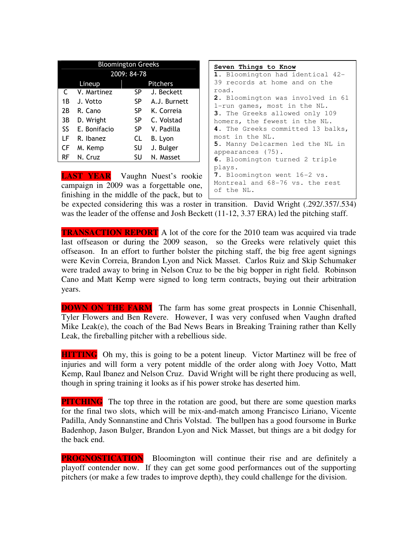| <b>Bloomington Greeks</b>              |              |           |                                                                                                                                                                         | Seven Things to Know                                           |
|----------------------------------------|--------------|-----------|-------------------------------------------------------------------------------------------------------------------------------------------------------------------------|----------------------------------------------------------------|
| 2009: 84-78                            |              |           |                                                                                                                                                                         | 1. Bloomington had identical 42-                               |
|                                        | Lineup       |           | Pitchers                                                                                                                                                                | 39 records at home and on the                                  |
|                                        | V. Martinez  |           | SP J. Beckett                                                                                                                                                           | road.                                                          |
| 1 B                                    | J. Votto     |           | SP A.J. Burnett                                                                                                                                                         | 2. Bloomington was involved in 61                              |
| 2B                                     | R. Cano      | SP.       | K. Correia                                                                                                                                                              | 1-run games, most in the NL.<br>3. The Greeks allowed only 109 |
| 3B                                     | D. Wright    | SP.       | C. Volstad                                                                                                                                                              | homers, the fewest in the NL.                                  |
| SS.                                    | E. Bonifacio | SP.       | V. Padilla                                                                                                                                                              | 4. The Greeks committed 13 balks,                              |
| LF.                                    | R. Ibanez    | CL.       | B. Lyon                                                                                                                                                                 | most in the NL.                                                |
| CF                                     | M. Kemp      | <b>SU</b> | J. Bulger                                                                                                                                                               | 5. Manny Delcarmen led the NL in                               |
|                                        | RF N. Cruz   | SU –      | N. Masset                                                                                                                                                               | appearances (75).                                              |
|                                        |              |           |                                                                                                                                                                         | 6. Bloomington turned 2 triple                                 |
|                                        |              |           |                                                                                                                                                                         | plays.                                                         |
| <b>LAST YEAR</b> Vaughn Nuest's rookie |              |           | 7. Bloomington went 16-2 vs.                                                                                                                                            |                                                                |
|                                        |              |           | $\epsilon$ and $\epsilon$ is $\epsilon$ $\sim$ 0000 $\epsilon$ $\sim$ $\epsilon$ $\epsilon$ $\sim$ $\epsilon$ $\epsilon$ $\sim$ $\epsilon$ $\epsilon$ $\sim$ $\epsilon$ | Montreal and 68-76 vs. the rest                                |

campaign in 2009 was a forgettable one, finishing in the middle of the pack, but to

Montreal and 68-76 vs. the rest of the NL.

be expected considering this was a roster in transition. David Wright (.292/.357/.534) was the leader of the offense and Josh Beckett (11-12, 3.37 ERA) led the pitching staff.

**TRANSACTION REPORT** A lot of the core for the 2010 team was acquired via trade last offseason or during the 2009 season, so the Greeks were relatively quiet this offseason. In an effort to further bolster the pitching staff, the big free agent signings were Kevin Correia, Brandon Lyon and Nick Masset. Carlos Ruiz and Skip Schumaker were traded away to bring in Nelson Cruz to be the big bopper in right field. Robinson Cano and Matt Kemp were signed to long term contracts, buying out their arbitration years.

**DOWN ON THE FARM** The farm has some great prospects in Lonnie Chisenhall, Tyler Flowers and Ben Revere. However, I was very confused when Vaughn drafted Mike Leak(e), the coach of the Bad News Bears in Breaking Training rather than Kelly Leak, the fireballing pitcher with a rebellious side.

**HITTING** Oh my, this is going to be a potent lineup. Victor Martinez will be free of injuries and will form a very potent middle of the order along with Joey Votto, Matt Kemp, Raul Ibanez and Nelson Cruz. David Wright will be right there producing as well, though in spring training it looks as if his power stroke has deserted him.

**PITCHING** The top three in the rotation are good, but there are some question marks for the final two slots, which will be mix-and-match among Francisco Liriano, Vicente Padilla, Andy Sonnanstine and Chris Volstad. The bullpen has a good foursome in Burke Badenhop, Jason Bulger, Brandon Lyon and Nick Masset, but things are a bit dodgy for the back end.

**PROGNOSTICATION** Bloomington will continue their rise and are definitely a playoff contender now. If they can get some good performances out of the supporting pitchers (or make a few trades to improve depth), they could challenge for the division.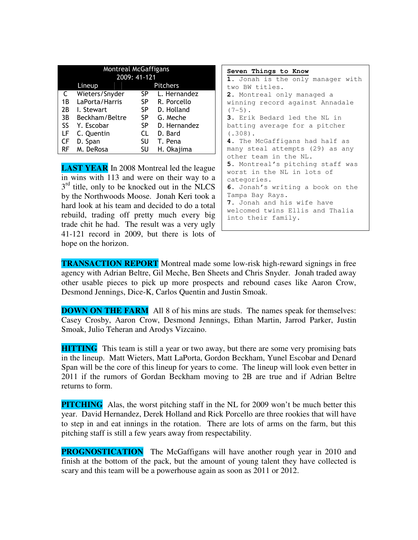| <b>Montreal McGaffigans</b> |                |     |                 |  |  |  |
|-----------------------------|----------------|-----|-----------------|--|--|--|
|                             | 2009: 41-121   |     |                 |  |  |  |
|                             | Lineup         |     | <b>Pitchers</b> |  |  |  |
| C                           | Wieters/Snyder | SP. | L. Hernandez    |  |  |  |
| 1B                          | LaPorta/Harris | SP. | R. Porcello     |  |  |  |
| 2В                          | I. Stewart     | SP. | D. Holland      |  |  |  |
| 3B                          | Beckham/Beltre | SP  | G. Meche        |  |  |  |
| SS                          | Y. Escobar     | SP  | D. Hernandez    |  |  |  |
| LF                          | C. Quentin     | CL  | D. Bard         |  |  |  |
| CF                          | D. Span        | SU  | T. Pena         |  |  |  |
| RF                          | M. DeRosa      | SU  | H. Okajima      |  |  |  |

**LAST YEAR** In 2008 Montreal led the league in wins with 113 and were on their way to a  $3<sup>rd</sup>$  title, only to be knocked out in the NLCS by the Northwoods Moose. Jonah Keri took a hard look at his team and decided to do a total rebuild, trading off pretty much every big trade chit he had. The result was a very ugly 41-121 record in 2009, but there is lots of hope on the horizon.

| Seven Things to Know                    |
|-----------------------------------------|
| 1. Jonah is the only manager with       |
| two BW titles.                          |
| 2. Montreal only managed a              |
| winning record against Annadale         |
| $(7-5)$ .                               |
| 3. Erik Bedard led the NL in            |
| batting average for a pitcher           |
| $(.308)$ .                              |
| 4. The McGaffigans had half as          |
| many steal attempts (29) as any         |
| other team in the NL.                   |
| <b>5.</b> Montreal's pitching staff was |
| worst in the NL in lots of              |
| categories.                             |
| 6. Jonah's writing a book on the        |
| Tampa Bay Rays.                         |
| 7. Jonah and his wife have              |
| welcomed twins Ellis and Thalia         |
| into their family.                      |

**TRANSACTION REPORT** Montreal made some low-risk high-reward signings in free agency with Adrian Beltre, Gil Meche, Ben Sheets and Chris Snyder. Jonah traded away other usable pieces to pick up more prospects and rebound cases like Aaron Crow, Desmond Jennings, Dice-K, Carlos Quentin and Justin Smoak.

**DOWN ON THE FARM** All 8 of his mins are studs. The names speak for themselves: Casey Crosby, Aaron Crow, Desmond Jennings, Ethan Martin, Jarrod Parker, Justin Smoak, Julio Teheran and Arodys Vizcaino.

**HITTING** This team is still a year or two away, but there are some very promising bats in the lineup. Matt Wieters, Matt LaPorta, Gordon Beckham, Yunel Escobar and Denard Span will be the core of this lineup for years to come. The lineup will look even better in 2011 if the rumors of Gordan Beckham moving to 2B are true and if Adrian Beltre returns to form.

**PITCHING** Alas, the worst pitching staff in the NL for 2009 won't be much better this year. David Hernandez, Derek Holland and Rick Porcello are three rookies that will have to step in and eat innings in the rotation. There are lots of arms on the farm, but this pitching staff is still a few years away from respectability.

**PROGNOSTICATION** The McGaffigans will have another rough year in 2010 and finish at the bottom of the pack, but the amount of young talent they have collected is scary and this team will be a powerhouse again as soon as 2011 or 2012.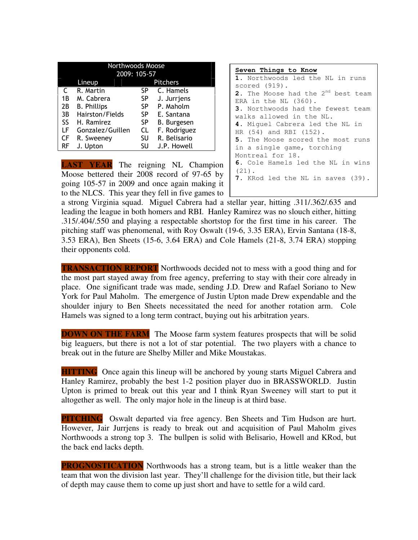|                           | Northwoods Moose   |     |                    |  |  |
|---------------------------|--------------------|-----|--------------------|--|--|
|                           | 2009: 105-57       |     |                    |  |  |
| <b>Pitchers</b><br>Lineup |                    |     |                    |  |  |
| C                         | R. Martin          | SP. | C. Hamels          |  |  |
| 1B                        | M. Cabrera         | SP  | J. Jurrjens        |  |  |
| 2В                        | <b>B. Phillips</b> | SP. | P. Maholm          |  |  |
| 3B                        | Hairston/Fields    | SP  | E. Santana         |  |  |
| SS.                       | H. Ramirez         | SP  | <b>B.</b> Burgesen |  |  |
| LF                        | Gonzalez/Guillen   | CL  | F. Rodriguez       |  |  |
| CF                        | R. Sweeney         | SU  | R. Belisario       |  |  |
| RF                        | J. Upton           | SU  | J.P. Howell        |  |  |

**LAST YEAR** The reigning NL Champion Moose bettered their 2008 record of 97-65 by going 105-57 in 2009 and once again making it to the NLCS. This year they fell in five games to

| Seven Things to Know                           |
|------------------------------------------------|
| 1. Northwoods led the NL in runs               |
| scored (919).                                  |
| 2. The Moose had the 2 <sup>nd</sup> best team |
| ERA in the NL $(360)$ .                        |
| 3. Northwoods had the fewest team              |
| walks allowed in the NL.                       |
| 4. Miguel Cabrera led the NL in                |
| HR (54) and RBI (152).                         |
| 5. The Moose scored the most runs              |
| in a single game, torching                     |
| Montreal for 18.                               |
| 6. Cole Hamels led the NL in wins              |
| $(21)$ .                                       |
| 7. KRod led the NL in saves (39).              |
|                                                |

a strong Virginia squad. Miguel Cabrera had a stellar year, hitting .311/.362/.635 and leading the league in both homers and RBI. Hanley Ramirez was no slouch either, hitting .315/.404/.550 and playing a respectable shortstop for the first time in his career. The pitching staff was phenomenal, with Roy Oswalt (19-6, 3.35 ERA), Ervin Santana (18-8, 3.53 ERA), Ben Sheets (15-6, 3.64 ERA) and Cole Hamels (21-8, 3.74 ERA) stopping their opponents cold.

**TRANSACTION REPORT** Northwoods decided not to mess with a good thing and for the most part stayed away from free agency, preferring to stay with their core already in place. One significant trade was made, sending J.D. Drew and Rafael Soriano to New York for Paul Maholm. The emergence of Justin Upton made Drew expendable and the shoulder injury to Ben Sheets necessitated the need for another rotation arm. Cole Hamels was signed to a long term contract, buying out his arbitration years.

**DOWN ON THE FARM** The Moose farm system features prospects that will be solid big leaguers, but there is not a lot of star potential. The two players with a chance to break out in the future are Shelby Miller and Mike Moustakas.

**HITTING** Once again this lineup will be anchored by young starts Miguel Cabrera and Hanley Ramirez, probably the best 1-2 position player duo in BRASSWORLD. Justin Upton is primed to break out this year and I think Ryan Sweeney will start to put it altogether as well. The only major hole in the lineup is at third base.

**PITCHING** Oswalt departed via free agency. Ben Sheets and Tim Hudson are hurt. However, Jair Jurrjens is ready to break out and acquisition of Paul Maholm gives Northwoods a strong top 3. The bullpen is solid with Belisario, Howell and KRod, but the back end lacks depth.

**PROGNOSTICATION** Northwoods has a strong team, but is a little weaker than the team that won the division last year. They'll challenge for the division title, but their lack of depth may cause them to come up just short and have to settle for a wild card.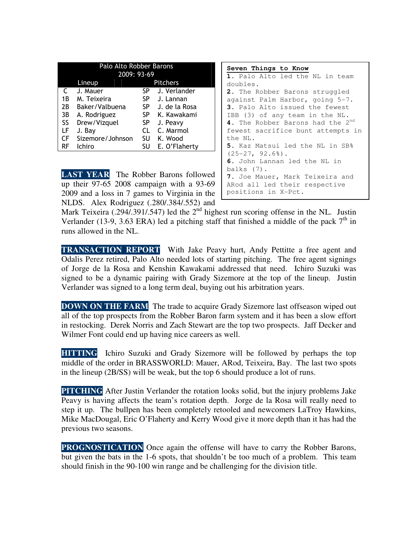| Palo Alto Robber Barons |                           |           |               |  |  |
|-------------------------|---------------------------|-----------|---------------|--|--|
|                         | 2009: 93-69               |           |               |  |  |
|                         | <b>Pitchers</b><br>Lineup |           |               |  |  |
| C                       | J. Mauer                  | SP.       | J. Verlander  |  |  |
| 1Β                      | M. Teixeira               | SP.       | J. Lannan     |  |  |
| 2B                      | Baker/Valbuena            | SP.       | J. de la Rosa |  |  |
| 3B                      | A. Rodriguez              | SP.       | K. Kawakami   |  |  |
| SS                      | Drew/Vizquel              | <b>SP</b> | J. Peavy      |  |  |
| LF                      | J. Bay                    | CL        | C. Marmol     |  |  |
| CF                      | Sizemore/Johnson          | SU        | K. Wood       |  |  |
| RF                      | <b>Ichiro</b>             | SU        | E. O'Flaherty |  |  |

**LAST YEAR** The Robber Barons followed up their 97-65 2008 campaign with a 93-69 2009 and a loss in 7 games to Virginia in the NLDS. Alex Rodriguez (.280/.384/.552) and

```
Seven Things to Know
1. Palo Alto led the NL in team 
doubles. 
2. The Robber Barons struggled 
against Palm Harbor, going 5-7. 
3. Palo Alto issued the fewest 
IBB (3) of any team in the NL. 
4. The Robber Barons had the 2nd
fewest sacrifice bunt attempts in 
the NL. 
5. Kaz Matsui led the NL in SB% 
(25-27, 92.6).
6. John Lannan led the NL in 
balks (7). 
7. Joe Mauer, Mark Teixeira and 
ARod all led their respective 
positions in X-Pct.
```
Mark Teixeira (.294/.391/.547) led the  $2<sup>nd</sup>$  highest run scoring offense in the NL. Justin Verlander (13-9, 3.63 ERA) led a pitching staff that finished a middle of the pack  $7<sup>th</sup>$  in runs allowed in the NL.

**TRANSACTION REPORT** With Jake Peavy hurt, Andy Pettitte a free agent and Odalis Perez retired, Palo Alto needed lots of starting pitching. The free agent signings of Jorge de la Rosa and Kenshin Kawakami addressed that need. Ichiro Suzuki was signed to be a dynamic pairing with Grady Sizemore at the top of the lineup. Justin Verlander was signed to a long term deal, buying out his arbitration years.

**DOWN ON THE FARM** The trade to acquire Grady Sizemore last offseason wiped out all of the top prospects from the Robber Baron farm system and it has been a slow effort in restocking. Derek Norris and Zach Stewart are the top two prospects. Jaff Decker and Wilmer Font could end up having nice careers as well.

**HITTING** Ichiro Suzuki and Grady Sizemore will be followed by perhaps the top middle of the order in BRASSWORLD: Mauer, ARod, Teixeira, Bay. The last two spots in the lineup (2B/SS) will be weak, but the top 6 should produce a lot of runs.

**PITCHING** After Justin Verlander the rotation looks solid, but the injury problems Jake Peavy is having affects the team's rotation depth. Jorge de la Rosa will really need to step it up. The bullpen has been completely retooled and newcomers LaTroy Hawkins, Mike MacDougal, Eric O'Flaherty and Kerry Wood give it more depth than it has had the previous two seasons.

**PROGNOSTICATION** Once again the offense will have to carry the Robber Barons, but given the bats in the 1-6 spots, that shouldn't be too much of a problem. This team should finish in the 90-100 win range and be challenging for the division title.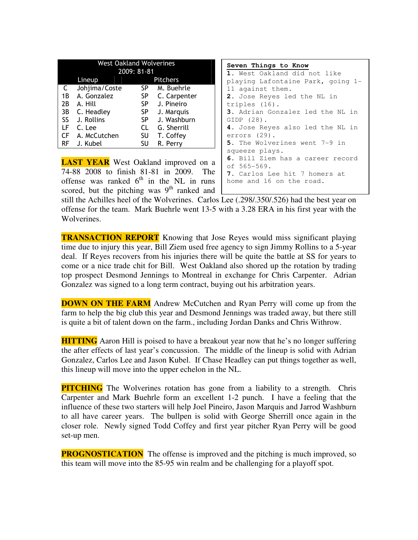| <b>West Oakland Wolverines</b><br>2009: 81-81 |                    |           |              |  |  |
|-----------------------------------------------|--------------------|-----------|--------------|--|--|
|                                               | Pitchers<br>Lineup |           |              |  |  |
| C                                             | Johjima/Coste      | SP.       | M. Buehrle   |  |  |
| 1 B                                           | A. Gonzalez        | <b>SP</b> | C. Carpenter |  |  |
| 2B                                            | A. Hill            | <b>SP</b> | J. Pineiro   |  |  |
| 3B                                            | C. Headley         | <b>SP</b> | J. Marquis   |  |  |
| SS                                            | J. Rollins         | <b>SP</b> | J. Washburn  |  |  |
| LF                                            | C. Lee             | CL        | G. Sherrill  |  |  |
| СF                                            | A. McCutchen       | SU        | T. Coffey    |  |  |
| RF                                            | J. Kubel           | SU        | R. Perry     |  |  |

**LAST YEAR** West Oakland improved on a 74-88 2008 to finish 81-81 in 2009. The offense was ranked  $6<sup>th</sup>$  in the NL in runs scored, but the pitching was  $9<sup>th</sup>$  ranked and

**Seven Things to Know 1.** West Oakland did not like playing Lafontaine Park, going 1- 11 against them. **2.** Jose Reyes led the NL in triples (16). **3.** Adrian Gonzalez led the NL in GIDP (28). **4.** Jose Reyes also led the NL in errors (29). **5.** The Wolverines went 7-9 in squeeze plays. **6.** Bill Ziem has a career record of 565-569. **7.** Carlos Lee hit 7 homers at home and 16 on the road.

still the Achilles heel of the Wolverines. Carlos Lee (.298/.350/.526) had the best year on offense for the team. Mark Buehrle went 13-5 with a 3.28 ERA in his first year with the Wolverines.

**TRANSACTION REPORT** Knowing that Jose Reyes would miss significant playing time due to injury this year, Bill Ziem used free agency to sign Jimmy Rollins to a 5-year deal. If Reyes recovers from his injuries there will be quite the battle at SS for years to come or a nice trade chit for Bill. West Oakland also shored up the rotation by trading top prospect Desmond Jennings to Montreal in exchange for Chris Carpenter. Adrian Gonzalez was signed to a long term contract, buying out his arbitration years.

**DOWN ON THE FARM** Andrew McCutchen and Ryan Perry will come up from the farm to help the big club this year and Desmond Jennings was traded away, but there still is quite a bit of talent down on the farm., including Jordan Danks and Chris Withrow.

**HITTING** Aaron Hill is poised to have a breakout year now that he's no longer suffering the after effects of last year's concussion. The middle of the lineup is solid with Adrian Gonzalez, Carlos Lee and Jason Kubel. If Chase Headley can put things together as well, this lineup will move into the upper echelon in the NL.

**PITCHING** The Wolverines rotation has gone from a liability to a strength. Chris Carpenter and Mark Buehrle form an excellent 1-2 punch. I have a feeling that the influence of these two starters will help Joel Pineiro, Jason Marquis and Jarrod Washburn to all have career years. The bullpen is solid with George Sherrill once again in the closer role. Newly signed Todd Coffey and first year pitcher Ryan Perry will be good set-up men.

**PROGNOSTICATION** The offense is improved and the pitching is much improved, so this team will move into the 85-95 win realm and be challenging for a playoff spot.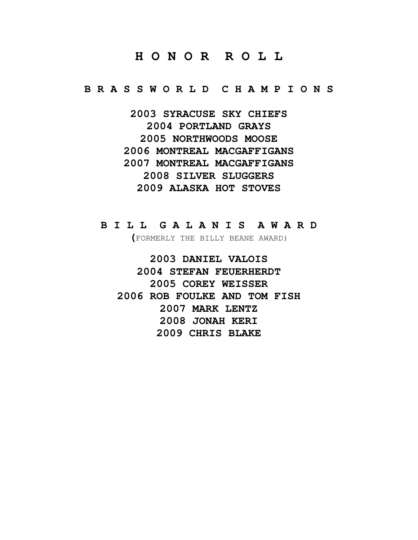### **H O N O R R O L L**

**B R A S S W O R L D C H A M P I O N S** 

**2003 SYRACUSE SKY CHIEFS 2004 PORTLAND GRAYS 2005 NORTHWOODS MOOSE 2006 MONTREAL MACGAFFIGANS 2007 MONTREAL MACGAFFIGANS 2008 SILVER SLUGGERS 2009 ALASKA HOT STOVES** 

### **B I L L G A L A N I S A W A R D**

**(**FORMERLY THE BILLY BEANE AWARD)

**2003 DANIEL VALOIS 2004 STEFAN FEUERHERDT 2005 COREY WEISSER 2006 ROB FOULKE AND TOM FISH 2007 MARK LENTZ 2008 JONAH KERI 2009 CHRIS BLAKE**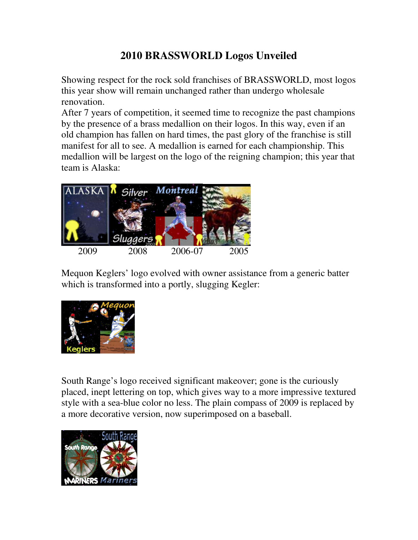## **2010 BRASSWORLD Logos Unveiled**

Showing respect for the rock sold franchises of BRASSWORLD, most logos this year show will remain unchanged rather than undergo wholesale renovation.

After 7 years of competition, it seemed time to recognize the past champions by the presence of a brass medallion on their logos. In this way, even if an old champion has fallen on hard times, the past glory of the franchise is still manifest for all to see. A medallion is earned for each championship. This medallion will be largest on the logo of the reigning champion; this year that team is Alaska:



Mequon Keglers' logo evolved with owner assistance from a generic batter which is transformed into a portly, slugging Kegler:



South Range's logo received significant makeover; gone is the curiously placed, inept lettering on top, which gives way to a more impressive textured style with a sea-blue color no less. The plain compass of 2009 is replaced by a more decorative version, now superimposed on a baseball.